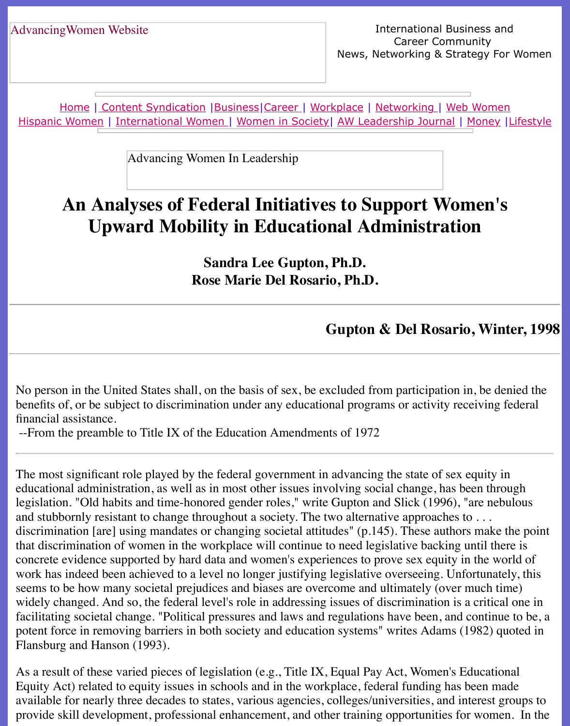Home | Content Syndication | Business | Career | Workplace | Networking | Web Wo Hispanic Women | International Women | Women in Society | AW Leadership Journal | Mon

Advancing Women In Leadership

# **[An](http://www.advancingwomen.com/index.html) [Analyses of Fe](file:///content.html)[deral I](file:///business.html)[nitiat](file:///awcareer.html)[ives to S](file:///workplace.html)[upport](file:///networks.html) Wome [Up](file:///hispanic.html)[ward Mobility](file:///international.html) [in Education](file:///Users/nrahman/Desktop/Flash2/womsoc/index.html)[al Administrat](file:///awl/awl.html)i[on](file:///finance.html)**

**Sandra Lee Gupton, Ph.D. Rose Marie Del Rosario, Ph.D.**

#### **Gupton & Del Rosario, V**

No person in the United States shall, on the basis of sex, be excluded from participation in, be dening the United States shall, on the basis of sex, be excluded from participation in, be dening to benefits of, or be subject to discrimination under any educational programs or activity receiving financial assistance.

--From the preamble to Title IX of the Education Amendments of 1972

The most significant role played by the federal government in advancing the state of sex equ educational administration, as well as in most other issues involving social change, has been legislation. "Old habits and time-honored gender roles," write Gupton and Slick (1996), "are and stubbornly resistant to change throughout a society. The two alternative approaches to ... discrimination [are] using mandates or changing societal attitudes" (p.145). These authors m that discrimination of women in the workplace will continue to need legislative backing unti concrete evidence supported by hard data and women's experiences to prove sex equity in the world of the world of world of world of world of the world of the world of the world of the world of the world of the world of the work has indeed been achieved to a level no longer justifying legislative overseeing. Unfortu seems to be how many societal prejudices and biases are overcome and ultimately (over muc widely changed. And so, the federal level's role in addressing issues of discrimination is a critical one in a facilitating societal change. "Political pressures and laws and regulations have been, and con potent force in removing barriers in both society and education systems" writes Adams (1982) Flansburg and Hanson (1993).

As a result of these varied pieces of legislation (e.g., Title IX, Equal Pay Act, Women's Educ Equity Act) related to equity issues in schools and in the workplace, federal funding has been available for nearly three decades to states, various agencies, colleges/universities, and intere provide skill development, professional enhancement, and other training opportunities for women.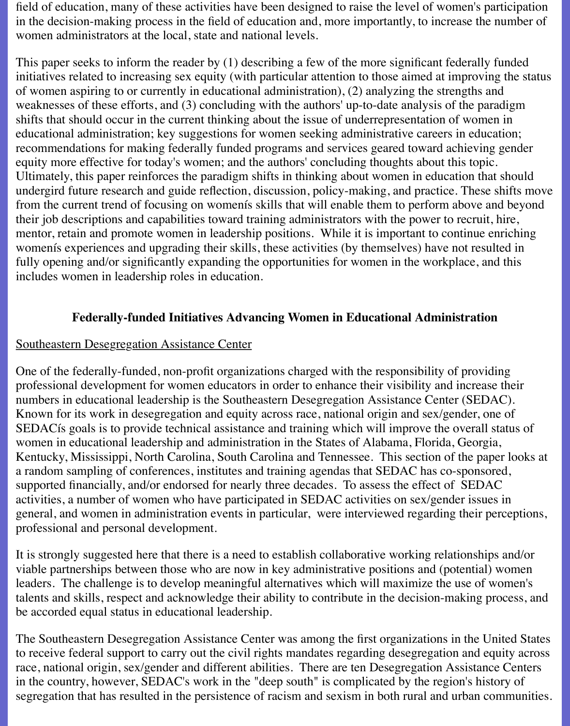field of education, many of these activities have been designed to raise the level of women's participation in the decision-making process in the field of education and, more importantly, to increase the number of women administrators at the local, state and national levels.

This paper seeks to inform the reader by (1) describing a few of the more significant federally funded initiatives related to increasing sex equity (with particular attention to those aimed at improving the status of women aspiring to or currently in educational administration), (2) analyzing the strengths and weaknesses of these efforts, and (3) concluding with the authors' up-to-date analysis of the paradigm shifts that should occur in the current thinking about the issue of underrepresentation of women in educational administration; key suggestions for women seeking administrative careers in education; recommendations for making federally funded programs and services geared toward achieving gender equity more effective for today's women; and the authors' concluding thoughts about this topic. Ultimately, this paper reinforces the paradigm shifts in thinking about women in education that should undergird future research and guide reflection, discussion, policy-making, and practice. These shifts move from the current trend of focusing on womenís skills that will enable them to perform above and beyond their job descriptions and capabilities toward training administrators with the power to recruit, hire, mentor, retain and promote women in leadership positions. While it is important to continue enriching womenís experiences and upgrading their skills, these activities (by themselves) have not resulted in fully opening and/or significantly expanding the opportunities for women in the workplace, and this includes women in leadership roles in education.

## **Federally-funded Initiatives Advancing Women in Educational Administration**

#### Southeastern Desegregation Assistance Center

One of the federally-funded, non-profit organizations charged with the responsibility of providing professional development for women educators in order to enhance their visibility and increase their numbers in educational leadership is the Southeastern Desegregation Assistance Center (SEDAC). Known for its work in desegregation and equity across race, national origin and sex/gender, one of SEDACís goals is to provide technical assistance and training which will improve the overall status of women in educational leadership and administration in the States of Alabama, Florida, Georgia, Kentucky, Mississippi, North Carolina, South Carolina and Tennessee. This section of the paper looks at a random sampling of conferences, institutes and training agendas that SEDAC has co-sponsored, supported financially, and/or endorsed for nearly three decades. To assess the effect of SEDAC activities, a number of women who have participated in SEDAC activities on sex/gender issues in general, and women in administration events in particular, were interviewed regarding their perceptions, professional and personal development.

It is strongly suggested here that there is a need to establish collaborative working relationships and/or viable partnerships between those who are now in key administrative positions and (potential) women leaders. The challenge is to develop meaningful alternatives which will maximize the use of women's talents and skills, respect and acknowledge their ability to contribute in the decision-making process, and be accorded equal status in educational leadership.

The Southeastern Desegregation Assistance Center was among the first organizations in the United States to receive federal support to carry out the civil rights mandates regarding desegregation and equity across race, national origin, sex/gender and different abilities. There are ten Desegregation Assistance Centers in the country, however, SEDAC's work in the "deep south" is complicated by the region's history of segregation that has resulted in the persistence of racism and sexism in both rural and urban communities.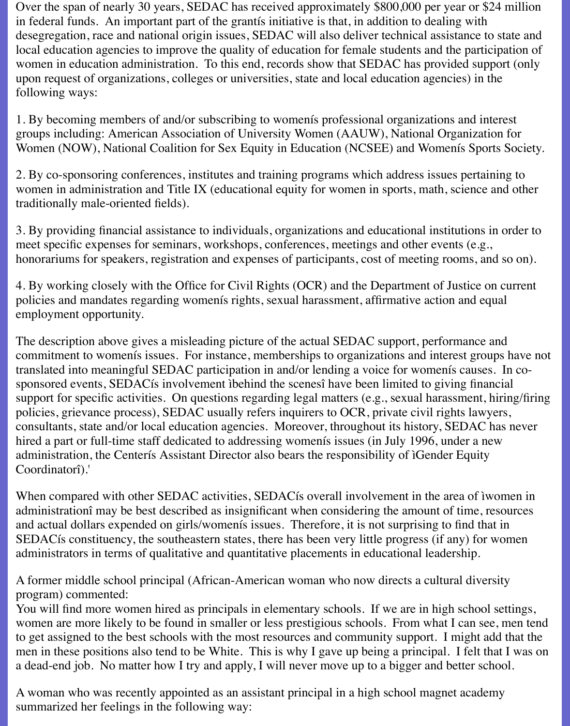Over the span of nearly 30 years, SEDAC has received approximately \$800,000 per year or \$24 million in federal funds. An important part of the grantís initiative is that, in addition to dealing with desegregation, race and national origin issues, SEDAC will also deliver technical assistance to state and local education agencies to improve the quality of education for female students and the participation of women in education administration. To this end, records show that SEDAC has provided support (only upon request of organizations, colleges or universities, state and local education agencies) in the following ways:

1. By becoming members of and/or subscribing to womenís professional organizations and interest groups including: American Association of University Women (AAUW), National Organization for Women (NOW), National Coalition for Sex Equity in Education (NCSEE) and Womenís Sports Society.

2. By co-sponsoring conferences, institutes and training programs which address issues pertaining to women in administration and Title IX (educational equity for women in sports, math, science and other traditionally male-oriented fields).

3. By providing financial assistance to individuals, organizations and educational institutions in order to meet specific expenses for seminars, workshops, conferences, meetings and other events (e.g., honorariums for speakers, registration and expenses of participants, cost of meeting rooms, and so on).

4. By working closely with the Office for Civil Rights (OCR) and the Department of Justice on current policies and mandates regarding womenís rights, sexual harassment, affirmative action and equal employment opportunity.

The description above gives a misleading picture of the actual SEDAC support, performance and commitment to womenís issues. For instance, memberships to organizations and interest groups have not translated into meaningful SEDAC participation in and/or lending a voice for womenís causes. In cosponsored events, SEDACís involvement ìbehind the scenesî have been limited to giving financial support for specific activities. On questions regarding legal matters (e.g., sexual harassment, hiring/firing policies, grievance process), SEDAC usually refers inquirers to OCR, private civil rights lawyers, consultants, state and/or local education agencies. Moreover, throughout its history, SEDAC has never hired a part or full-time staff dedicated to addressing womenís issues (in July 1996, under a new administration, the Centerís Assistant Director also bears the responsibility of ìGender Equity Coordinatorî).'

When compared with other SEDAC activities, SEDACís overall involvement in the area of ìwomen in administrationî may be best described as insignificant when considering the amount of time, resources and actual dollars expended on girls/womenís issues. Therefore, it is not surprising to find that in SEDACís constituency, the southeastern states, there has been very little progress (if any) for women administrators in terms of qualitative and quantitative placements in educational leadership.

A former middle school principal (African-American woman who now directs a cultural diversity program) commented:

You will find more women hired as principals in elementary schools. If we are in high school settings, women are more likely to be found in smaller or less prestigious schools. From what I can see, men tend to get assigned to the best schools with the most resources and community support. I might add that the men in these positions also tend to be White. This is why I gave up being a principal. I felt that I was on a dead-end job. No matter how I try and apply, I will never move up to a bigger and better school.

A woman who was recently appointed as an assistant principal in a high school magnet academy summarized her feelings in the following way: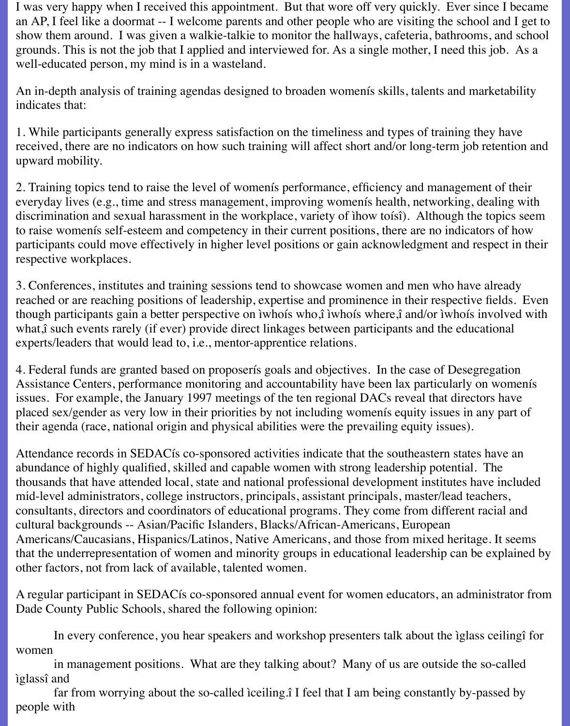I was very happy when I received this appointment. But that wore off very quickly. Ever since I became an AP, I feel like a doormat -- I welcome parents and other people who are visiting the school and I get to show them around. I was given a walkie-talkie to monitor the hallways, cafeteria, bathrooms, and school grounds. This is not the job that I applied and interviewed for. As a single mother, I need this job. As a well-educated person, my mind is in a wasteland.

An in-depth analysis of training agendas designed to broaden womenís skills, talents and marketability indicates that:

1. While participants generally express satisfaction on the timeliness and types of training they have received, there are no indicators on how such training will affect short and/or long-term job retention and upward mobility.

2. Training topics tend to raise the level of womenís performance, efficiency and management of their everyday lives (e.g., time and stress management, improving womenís health, networking, dealing with discrimination and sexual harassment in the workplace, variety of ìhow toísî). Although the topics seem to raise womenís self-esteem and competency in their current positions, there are no indicators of how participants could move effectively in higher level positions or gain acknowledgment and respect in their respective workplaces.

3. Conferences, institutes and training sessions tend to showcase women and men who have already reached or are reaching positions of leadership, expertise and prominence in their respective fields. Even though participants gain a better perspective on ìwhoís who,î ìwhoís where,î and/or ìwhoís involved with what,î such events rarely (if ever) provide direct linkages between participants and the educational experts/leaders that would lead to, i.e., mentor-apprentice relations.

4. Federal funds are granted based on proposerís goals and objectives. In the case of Desegregation Assistance Centers, performance monitoring and accountability have been lax particularly on womenís issues. For example, the January 1997 meetings of the ten regional DACs reveal that directors have placed sex/gender as very low in their priorities by not including womenís equity issues in any part of their agenda (race, national origin and physical abilities were the prevailing equity issues).

Attendance records in SEDACís co-sponsored activities indicate that the southeastern states have an abundance of highly qualified, skilled and capable women with strong leadership potential. The thousands that have attended local, state and national professional development institutes have included mid-level administrators, college instructors, principals, assistant principals, master/lead teachers, consultants, directors and coordinators of educational programs. They come from different racial and cultural backgrounds -- Asian/Pacific Islanders, Blacks/African-Americans, European Americans/Caucasians, Hispanics/Latinos, Native Americans, and those from mixed heritage. It seems that the underrepresentation of women and minority groups in educational leadership can be explained by other factors, not from lack of available, talented women.

A regular participant in SEDACís co-sponsored annual event for women educators, an administrator from Dade County Public Schools, shared the following opinion:

 In every conference, you hear speakers and workshop presenters talk about the ìglass ceilingî for women

 in management positions. What are they talking about? Many of us are outside the so-called ìglassî and

 far from worrying about the so-called ìceiling.î I feel that I am being constantly by-passed by people with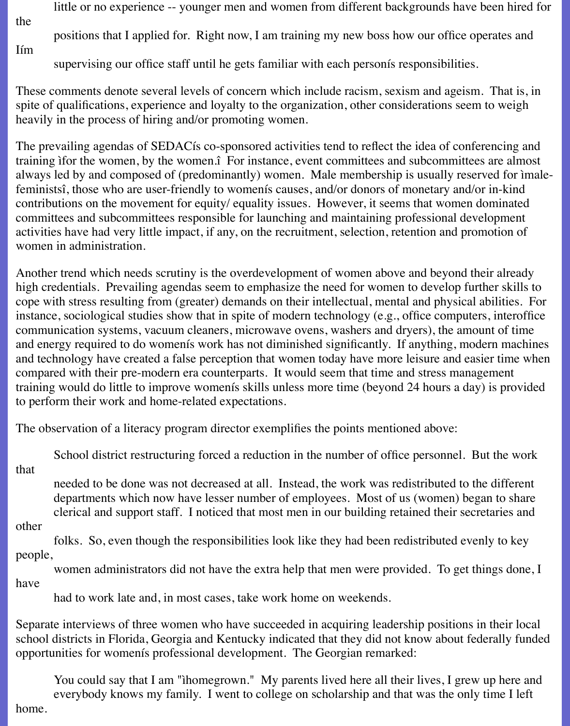little or no experience -- younger men and women from different backgrounds have been hired for

the

Iím

positions that I applied for. Right now, I am training my new boss how our office operates and

supervising our office staff until he gets familiar with each personís responsibilities.

These comments denote several levels of concern which include racism, sexism and ageism. That is, in spite of qualifications, experience and loyalty to the organization, other considerations seem to weigh heavily in the process of hiring and/or promoting women.

The prevailing agendas of SEDACís co-sponsored activities tend to reflect the idea of conferencing and training ìfor the women, by the women.î For instance, event committees and subcommittees are almost always led by and composed of (predominantly) women. Male membership is usually reserved for ìmalefeministsî, those who are user-friendly to womenís causes, and/or donors of monetary and/or in-kind contributions on the movement for equity/ equality issues. However, it seems that women dominated committees and subcommittees responsible for launching and maintaining professional development activities have had very little impact, if any, on the recruitment, selection, retention and promotion of women in administration.

Another trend which needs scrutiny is the overdevelopment of women above and beyond their already high credentials. Prevailing agendas seem to emphasize the need for women to develop further skills to cope with stress resulting from (greater) demands on their intellectual, mental and physical abilities. For instance, sociological studies show that in spite of modern technology (e.g., office computers, interoffice communication systems, vacuum cleaners, microwave ovens, washers and dryers), the amount of time and energy required to do womenís work has not diminished significantly. If anything, modern machines and technology have created a false perception that women today have more leisure and easier time when compared with their pre-modern era counterparts. It would seem that time and stress management training would do little to improve womenís skills unless more time (beyond 24 hours a day) is provided to perform their work and home-related expectations.

The observation of a literacy program director exemplifies the points mentioned above:

 School district restructuring forced a reduction in the number of office personnel. But the work that

 needed to be done was not decreased at all. Instead, the work was redistributed to the different departments which now have lesser number of employees. Most of us (women) began to share clerical and support staff. I noticed that most men in our building retained their secretaries and

other

 folks. So, even though the responsibilities look like they had been redistributed evenly to key people,

 women administrators did not have the extra help that men were provided. To get things done, I have

had to work late and, in most cases, take work home on weekends.

Separate interviews of three women who have succeeded in acquiring leadership positions in their local school districts in Florida, Georgia and Kentucky indicated that they did not know about federally funded opportunities for womenís professional development. The Georgian remarked:

You could say that I am "ihomegrown." My parents lived here all their lives, I grew up here and everybody knows my family. I went to college on scholarship and that was the only time I left

home.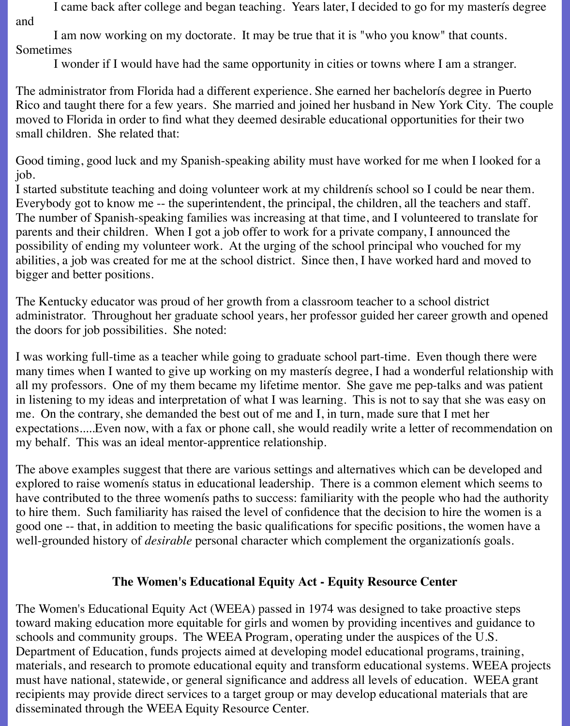I came back after college and began teaching. Years later, I decided to go for my masterís degree and

 I am now working on my doctorate. It may be true that it is "who you know" that counts. Sometimes

I wonder if I would have had the same opportunity in cities or towns where I am a stranger.

The administrator from Florida had a different experience. She earned her bachelorís degree in Puerto Rico and taught there for a few years. She married and joined her husband in New York City. The couple moved to Florida in order to find what they deemed desirable educational opportunities for their two small children. She related that:

Good timing, good luck and my Spanish-speaking ability must have worked for me when I looked for a job.

I started substitute teaching and doing volunteer work at my childrenís school so I could be near them. Everybody got to know me -- the superintendent, the principal, the children, all the teachers and staff. The number of Spanish-speaking families was increasing at that time, and I volunteered to translate for parents and their children. When I got a job offer to work for a private company, I announced the possibility of ending my volunteer work. At the urging of the school principal who vouched for my abilities, a job was created for me at the school district. Since then, I have worked hard and moved to bigger and better positions.

The Kentucky educator was proud of her growth from a classroom teacher to a school district administrator. Throughout her graduate school years, her professor guided her career growth and opened the doors for job possibilities. She noted:

I was working full-time as a teacher while going to graduate school part-time. Even though there were many times when I wanted to give up working on my masterís degree, I had a wonderful relationship with all my professors. One of my them became my lifetime mentor. She gave me pep-talks and was patient in listening to my ideas and interpretation of what I was learning. This is not to say that she was easy on me. On the contrary, she demanded the best out of me and I, in turn, made sure that I met her expectations.....Even now, with a fax or phone call, she would readily write a letter of recommendation on my behalf. This was an ideal mentor-apprentice relationship.

The above examples suggest that there are various settings and alternatives which can be developed and explored to raise womenís status in educational leadership. There is a common element which seems to have contributed to the three womenís paths to success: familiarity with the people who had the authority to hire them. Such familiarity has raised the level of confidence that the decision to hire the women is a good one -- that, in addition to meeting the basic qualifications for specific positions, the women have a well-grounded history of *desirable* personal character which complement the organizationís goals.

## **The Women's Educational Equity Act - Equity Resource Center**

The Women's Educational Equity Act (WEEA) passed in 1974 was designed to take proactive steps toward making education more equitable for girls and women by providing incentives and guidance to schools and community groups. The WEEA Program, operating under the auspices of the U.S. Department of Education, funds projects aimed at developing model educational programs, training, materials, and research to promote educational equity and transform educational systems. WEEA projects must have national, statewide, or general significance and address all levels of education. WEEA grant recipients may provide direct services to a target group or may develop educational materials that are disseminated through the WEEA Equity Resource Center.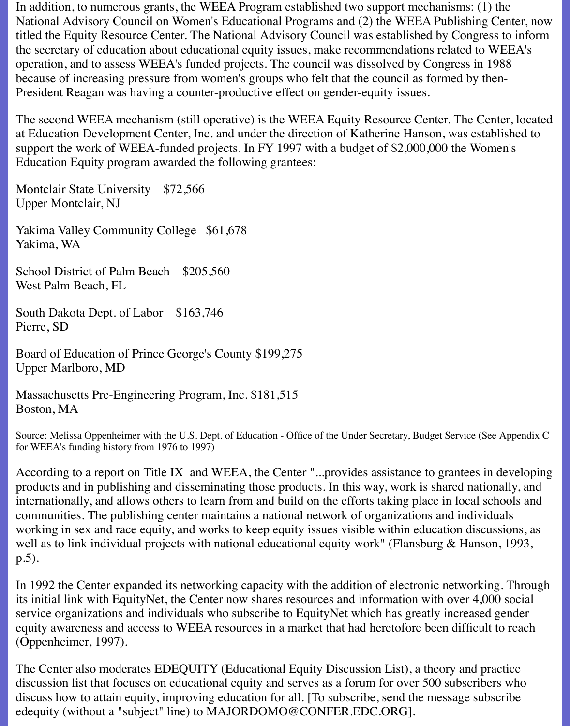In addition, to numerous grants, the WEEA Program established two support mechanisms: (1) the National Advisory Council on Women's Educational Programs and (2) the WEEA Publishing Center, now titled the Equity Resource Center. The National Advisory Council was established by Congress to inform the secretary of education about educational equity issues, make recommendations related to WEEA's operation, and to assess WEEA's funded projects. The council was dissolved by Congress in 1988 because of increasing pressure from women's groups who felt that the council as formed by then-President Reagan was having a counter-productive effect on gender-equity issues.

The second WEEA mechanism (still operative) is the WEEA Equity Resource Center. The Center, located at Education Development Center, Inc. and under the direction of Katherine Hanson, was established to support the work of WEEA-funded projects. In FY 1997 with a budget of \$2,000,000 the Women's Education Equity program awarded the following grantees:

Montclair State University \$72,566 Upper Montclair, NJ

Yakima Valley Community College \$61,678 Yakima, WA

School District of Palm Beach \$205,560 West Palm Beach, FL

South Dakota Dept. of Labor \$163,746 Pierre, SD

Board of Education of Prince George's County \$199,275 Upper Marlboro, MD

Massachusetts Pre-Engineering Program, Inc. \$181,515 Boston, MA

Source: Melissa Oppenheimer with the U.S. Dept. of Education - Office of the Under Secretary, Budget Service (See Appendix C for WEEA's funding history from 1976 to 1997)

According to a report on Title IX and WEEA, the Center "...provides assistance to grantees in developing products and in publishing and disseminating those products. In this way, work is shared nationally, and internationally, and allows others to learn from and build on the efforts taking place in local schools and communities. The publishing center maintains a national network of organizations and individuals working in sex and race equity, and works to keep equity issues visible within education discussions, as well as to link individual projects with national educational equity work" (Flansburg & Hanson, 1993, p.5).

In 1992 the Center expanded its networking capacity with the addition of electronic networking. Through its initial link with EquityNet, the Center now shares resources and information with over 4,000 social service organizations and individuals who subscribe to EquityNet which has greatly increased gender equity awareness and access to WEEA resources in a market that had heretofore been difficult to reach (Oppenheimer, 1997).

The Center also moderates EDEQUITY (Educational Equity Discussion List), a theory and practice discussion list that focuses on educational equity and serves as a forum for over 500 subscribers who discuss how to attain equity, improving education for all. [To subscribe, send the message subscribe edequity (without a "subject" line) to MAJORDOMO@CONFER.EDC.ORG].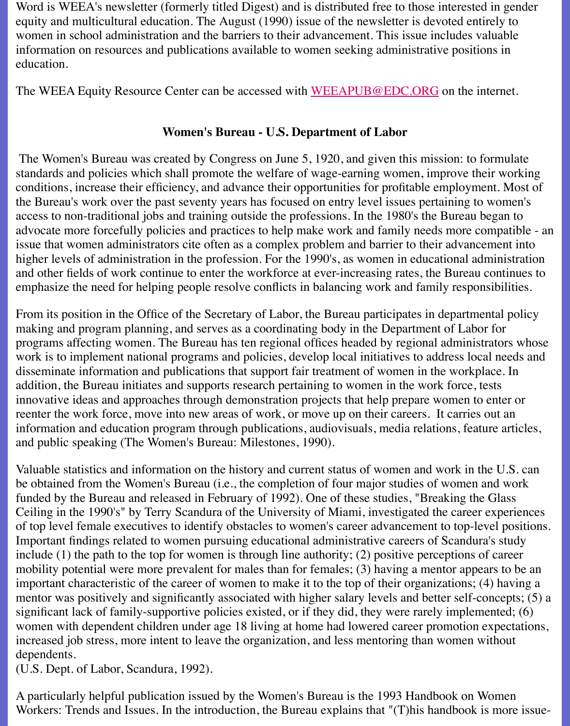#### **Women's Bureau - U.S. Department of Labor**

The Women's Bureau was created by Congress on June 5, 1920, and given this mission: to f standards and policies which shall promote the welfare of wage-earning women, improve the conditions, increase their efficiency, and advance their op[portunities for profitable em](mailto:weeapub@edc.org)ployment. the Bureau's work over the past seventy years has focused on entry level issues pertaining to access to non-traditional jobs and training outside the professions. In the 1980's the Bureau b advocate more forcefully policies and practices to help make work and family needs more compatible  $\alpha$ issue that women administrators cite often as a complex problem and barrier to their advance higher levels of administration in the profession. For the 1990's, as women in educational ad and other fields of work continue to enter the workforce at ever-increasing rates, the Bureau emphasize the need for helping people resolve conflicts in balancing work and family responsibility.

From its position in the Office of the Secretary of Labor, the Bureau participates in department making and program planning, and serves as a coordinating body in the Department of Labo programs affecting women. The Bureau has ten regional offices headed by regional administ work is to implement national programs and policies, develop local initiatives to address local disseminate information and publications that support fair treatment of women in the workpl addition, the Bureau initiates and supports research pertaining to women in the work force, to innovative ideas and approaches through demonstration projects that help prepare women to reenter the work force, move into new areas of work, or move up on their careers. It carries information and education program through publications, audiovisuals, media relations, feature articles, and the and public speaking (The Women's Bureau: Milestones, 1990).

Valuable statistics and information on the history and current status of women and work in the be obtained from the Women's Bureau (i.e., the completion of four major studies of women and work funded by the Bureau and released in February of 1992). One of these studies, "Breaking the Ceiling in the 1990's" by Terry Scandura of the University of Miami, investigated the career of top level female executives to identify obstacles to women's career advancement to top-le Important findings related to women pursuing educational administrative careers of Scandura include  $(1)$  the path to the top for women is through line authority;  $(2)$  positive perceptions of mobility potential were more prevalent for males than for females;  $(3)$  having a mentor appe important characteristic of the career of women to make it to the top of their organizations; (4) mentor was positively and significantly associated with higher salary levels and better self-concepts; means significant lack of family-supportive policies existed, or if they did, they were rarely implem women with dependent children under age 18 living at home had lowered career promotion increased job stress, more intent to leave the organization, and less mentoring than women w dependents.

(U.S. Dept. of Labor, Scandura, 1992).

A particularly helpful publication issued by the Women's Bureau is the 1993 Handbook on W Workers: Trends and Issues. In the introduction, the Bureau explains that "(T)his handbook is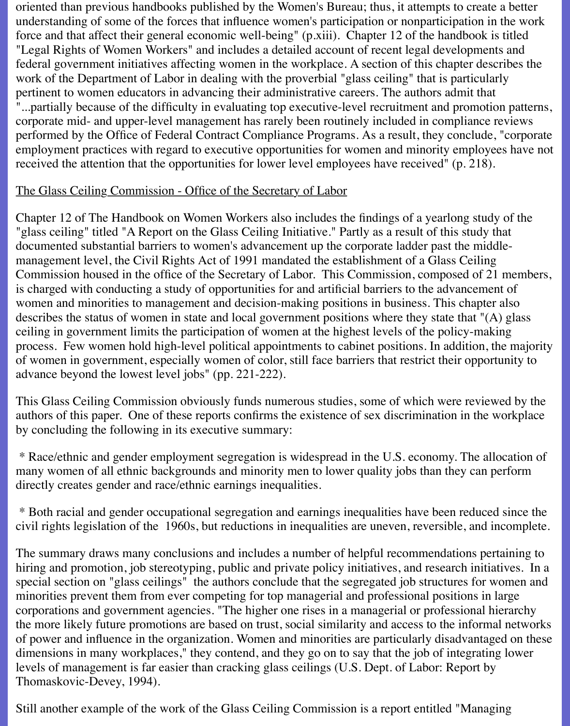oriented than previous handbooks published by the Women's Bureau; thus, it attempts to create a better understanding of some of the forces that influence women's participation or nonparticipation in the work force and that affect their general economic well-being" (p.xiii). Chapter 12 of the handbook is titled "Legal Rights of Women Workers" and includes a detailed account of recent legal developments and federal government initiatives affecting women in the workplace. A section of this chapter describes the work of the Department of Labor in dealing with the proverbial "glass ceiling" that is particularly pertinent to women educators in advancing their administrative careers. The authors admit that "...partially because of the difficulty in evaluating top executive-level recruitment and promotion patterns, corporate mid- and upper-level management has rarely been routinely included in compliance reviews performed by the Office of Federal Contract Compliance Programs. As a result, they conclude, "corporate employment practices with regard to executive opportunities for women and minority employees have not received the attention that the opportunities for lower level employees have received" (p. 218).

#### The Glass Ceiling Commission - Office of the Secretary of Labor

Chapter 12 of The Handbook on Women Workers also includes the findings of a yearlong study of the "glass ceiling" titled "A Report on the Glass Ceiling Initiative." Partly as a result of this study that documented substantial barriers to women's advancement up the corporate ladder past the middlemanagement level, the Civil Rights Act of 1991 mandated the establishment of a Glass Ceiling Commission housed in the office of the Secretary of Labor. This Commission, composed of 21 members, is charged with conducting a study of opportunities for and artificial barriers to the advancement of women and minorities to management and decision-making positions in business. This chapter also describes the status of women in state and local government positions where they state that "(A) glass ceiling in government limits the participation of women at the highest levels of the policy-making process. Few women hold high-level political appointments to cabinet positions. In addition, the majority of women in government, especially women of color, still face barriers that restrict their opportunity to advance beyond the lowest level jobs" (pp. 221-222).

This Glass Ceiling Commission obviously funds numerous studies, some of which were reviewed by the authors of this paper. One of these reports confirms the existence of sex discrimination in the workplace by concluding the following in its executive summary:

 \* Race/ethnic and gender employment segregation is widespread in the U.S. economy. The allocation of many women of all ethnic backgrounds and minority men to lower quality jobs than they can perform directly creates gender and race/ethnic earnings inequalities.

 \* Both racial and gender occupational segregation and earnings inequalities have been reduced since the civil rights legislation of the 1960s, but reductions in inequalities are uneven, reversible, and incomplete.

The summary draws many conclusions and includes a number of helpful recommendations pertaining to hiring and promotion, job stereotyping, public and private policy initiatives, and research initiatives. In a special section on "glass ceilings" the authors conclude that the segregated job structures for women and minorities prevent them from ever competing for top managerial and professional positions in large corporations and government agencies. "The higher one rises in a managerial or professional hierarchy the more likely future promotions are based on trust, social similarity and access to the informal networks of power and influence in the organization. Women and minorities are particularly disadvantaged on these dimensions in many workplaces," they contend, and they go on to say that the job of integrating lower levels of management is far easier than cracking glass ceilings (U.S. Dept. of Labor: Report by Thomaskovic-Devey, 1994).

Still another example of the work of the Glass Ceiling Commission is a report entitled "Managing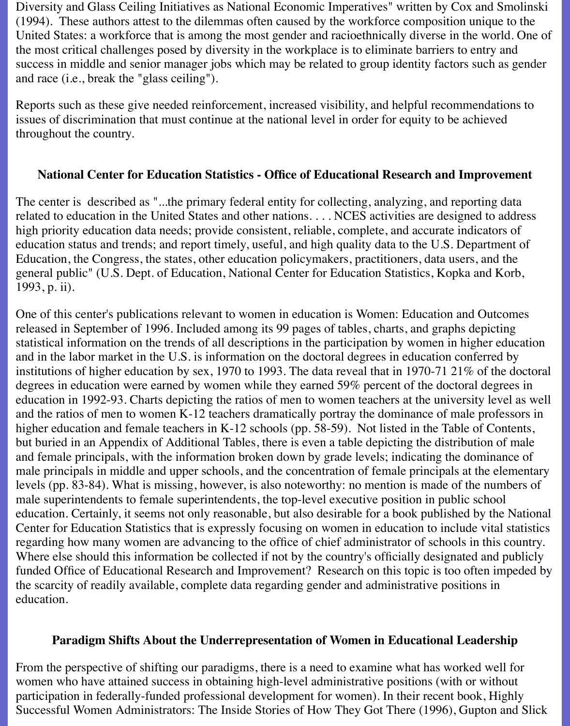Diversity and Glass Ceiling Initiatives as National Economic Imperatives" written by Cox and Smolinski (1994). These authors attest to the dilemmas often caused by the workforce composition unique to the United States: a workforce that is among the most gender and racioethnically diverse in the world. One of the most critical challenges posed by diversity in the workplace is to eliminate barriers to entry and success in middle and senior manager jobs which may be related to group identity factors such as gender and race (i.e., break the "glass ceiling").

Reports such as these give needed reinforcement, increased visibility, and helpful recommendations to issues of discrimination that must continue at the national level in order for equity to be achieved throughout the country.

#### **National Center for Education Statistics - Office of Educational Research and Improvement**

The center is described as "...the primary federal entity for collecting, analyzing, and reporting data related to education in the United States and other nations. . . . NCES activities are designed to address high priority education data needs; provide consistent, reliable, complete, and accurate indicators of education status and trends; and report timely, useful, and high quality data to the U.S. Department of Education, the Congress, the states, other education policymakers, practitioners, data users, and the general public" (U.S. Dept. of Education, National Center for Education Statistics, Kopka and Korb, 1993, p. ii).

One of this center's publications relevant to women in education is Women: Education and Outcomes released in September of 1996. Included among its 99 pages of tables, charts, and graphs depicting statistical information on the trends of all descriptions in the participation by women in higher education and in the labor market in the U.S. is information on the doctoral degrees in education conferred by institutions of higher education by sex, 1970 to 1993. The data reveal that in 1970-71 21% of the doctoral degrees in education were earned by women while they earned 59% percent of the doctoral degrees in education in 1992-93. Charts depicting the ratios of men to women teachers at the university level as well and the ratios of men to women K-12 teachers dramatically portray the dominance of male professors in higher education and female teachers in K-12 schools (pp. 58-59). Not listed in the Table of Contents, but buried in an Appendix of Additional Tables, there is even a table depicting the distribution of male and female principals, with the information broken down by grade levels; indicating the dominance of male principals in middle and upper schools, and the concentration of female principals at the elementary levels (pp. 83-84). What is missing, however, is also noteworthy: no mention is made of the numbers of male superintendents to female superintendents, the top-level executive position in public school education. Certainly, it seems not only reasonable, but also desirable for a book published by the National Center for Education Statistics that is expressly focusing on women in education to include vital statistics regarding how many women are advancing to the office of chief administrator of schools in this country. Where else should this information be collected if not by the country's officially designated and publicly funded Office of Educational Research and Improvement? Research on this topic is too often impeded by the scarcity of readily available, complete data regarding gender and administrative positions in education.

#### **Paradigm Shifts About the Underrepresentation of Women in Educational Leadership**

From the perspective of shifting our paradigms, there is a need to examine what has worked well for women who have attained success in obtaining high-level administrative positions (with or without participation in federally-funded professional development for women). In their recent book, Highly Successful Women Administrators: The Inside Stories of How They Got There (1996), Gupton and Slick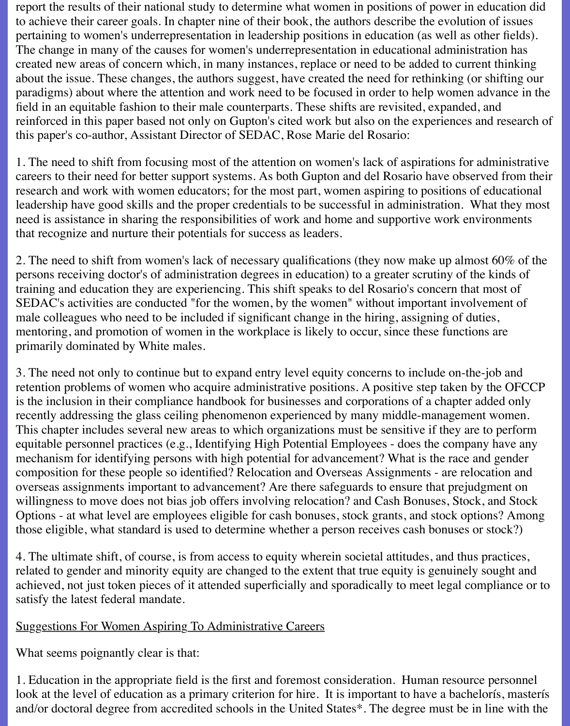report the results of their national study to determine what women in positions of power in education did to achieve their career goals. In chapter nine of their book, the authors describe the evolution of issues pertaining to women's underrepresentation in leadership positions in education (as well as other fields). The change in many of the causes for women's underrepresentation in educational administration has created new areas of concern which, in many instances, replace or need to be added to current thinking about the issue. These changes, the authors suggest, have created the need for rethinking (or shifting our paradigms) about where the attention and work need to be focused in order to help women advance in the field in an equitable fashion to their male counterparts. These shifts are revisited, expanded, and reinforced in this paper based not only on Gupton's cited work but also on the experiences and research of this paper's co-author, Assistant Director of SEDAC, Rose Marie del Rosario:

1. The need to shift from focusing most of the attention on women's lack of aspirations for administrative careers to their need for better support systems. As both Gupton and del Rosario have observed from their research and work with women educators; for the most part, women aspiring to positions of educational leadership have good skills and the proper credentials to be successful in administration. What they most need is assistance in sharing the responsibilities of work and home and supportive work environments that recognize and nurture their potentials for success as leaders.

2. The need to shift from women's lack of necessary qualifications (they now make up almost 60% of the persons receiving doctor's of administration degrees in education) to a greater scrutiny of the kinds of training and education they are experiencing. This shift speaks to del Rosario's concern that most of SEDAC's activities are conducted "for the women, by the women" without important involvement of male colleagues who need to be included if significant change in the hiring, assigning of duties, mentoring, and promotion of women in the workplace is likely to occur, since these functions are primarily dominated by White males.

3. The need not only to continue but to expand entry level equity concerns to include on-the-job and retention problems of women who acquire administrative positions. A positive step taken by the OFCCP is the inclusion in their compliance handbook for businesses and corporations of a chapter added only recently addressing the glass ceiling phenomenon experienced by many middle-management women. This chapter includes several new areas to which organizations must be sensitive if they are to perform equitable personnel practices (e.g., Identifying High Potential Employees - does the company have any mechanism for identifying persons with high potential for advancement? What is the race and gender composition for these people so identified? Relocation and Overseas Assignments - are relocation and overseas assignments important to advancement? Are there safeguards to ensure that prejudgment on willingness to move does not bias job offers involving relocation? and Cash Bonuses, Stock, and Stock Options - at what level are employees eligible for cash bonuses, stock grants, and stock options? Among those eligible, what standard is used to determine whether a person receives cash bonuses or stock?)

4. The ultimate shift, of course, is from access to equity wherein societal attitudes, and thus practices, related to gender and minority equity are changed to the extent that true equity is genuinely sought and achieved, not just token pieces of it attended superficially and sporadically to meet legal compliance or to satisfy the latest federal mandate.

#### Suggestions For Women Aspiring To Administrative Careers

What seems poignantly clear is that:

1. Education in the appropriate field is the first and foremost consideration. Human resource personnel look at the level of education as a primary criterion for hire. It is important to have a bachelorís, masterís and/or doctoral degree from accredited schools in the United States\*. The degree must be in line with the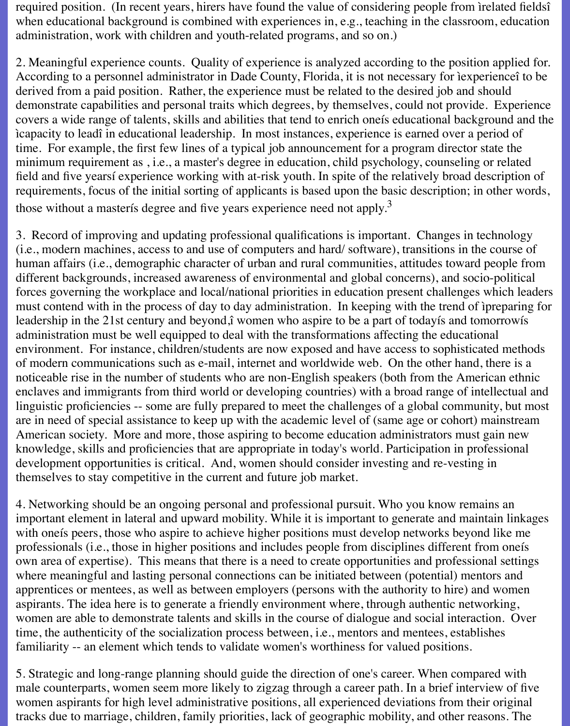required position. (In recent years, hirers have found the value of considering people from ìrelated fieldsî when educational background is combined with experiences in, e.g., teaching in the classroom, education administration, work with children and youth-related programs, and so on.)

2. Meaningful experience counts. Quality of experience is analyzed according to the position applied for. According to a personnel administrator in Dade County, Florida, it is not necessary for ìexperienceî to be derived from a paid position. Rather, the experience must be related to the desired job and should demonstrate capabilities and personal traits which degrees, by themselves, could not provide. Experience covers a wide range of talents, skills and abilities that tend to enrich oneís educational background and the ìcapacity to leadî in educational leadership. In most instances, experience is earned over a period of time. For example, the first few lines of a typical job announcement for a program director state the minimum requirement as , i.e., a master's degree in education, child psychology, counseling or related field and five yearsí experience working with at-risk youth. In spite of the relatively broad description of requirements, focus of the initial sorting of applicants is based upon the basic description; in other words, those without a master is degree and five years experience need not apply.<sup>3</sup>

3. Record of improving and updating professional qualifications is important. Changes in technology (i.e., modern machines, access to and use of computers and hard/ software), transitions in the course of human affairs (i.e., demographic character of urban and rural communities, attitudes toward people from different backgrounds, increased awareness of environmental and global concerns), and socio-political forces governing the workplace and local/national priorities in education present challenges which leaders must contend with in the process of day to day administration. In keeping with the trend of ìpreparing for leadership in the 21st century and beyond,î women who aspire to be a part of todayís and tomorrowís administration must be well equipped to deal with the transformations affecting the educational environment. For instance, children/students are now exposed and have access to sophisticated methods of modern communications such as e-mail, internet and worldwide web. On the other hand, there is a noticeable rise in the number of students who are non-English speakers (both from the American ethnic enclaves and immigrants from third world or developing countries) with a broad range of intellectual and linguistic proficiencies -- some are fully prepared to meet the challenges of a global community, but most are in need of special assistance to keep up with the academic level of (same age or cohort) mainstream American society. More and more, those aspiring to become education administrators must gain new knowledge, skills and proficiencies that are appropriate in today's world. Participation in professional development opportunities is critical. And, women should consider investing and re-vesting in themselves to stay competitive in the current and future job market.

4. Networking should be an ongoing personal and professional pursuit. Who you know remains an important element in lateral and upward mobility. While it is important to generate and maintain linkages with oneís peers, those who aspire to achieve higher positions must develop networks beyond like me professionals (i.e., those in higher positions and includes people from disciplines different from oneís own area of expertise). This means that there is a need to create opportunities and professional settings where meaningful and lasting personal connections can be initiated between (potential) mentors and apprentices or mentees, as well as between employers (persons with the authority to hire) and women aspirants. The idea here is to generate a friendly environment where, through authentic networking, women are able to demonstrate talents and skills in the course of dialogue and social interaction. Over time, the authenticity of the socialization process between, i.e., mentors and mentees, establishes familiarity -- an element which tends to validate women's worthiness for valued positions.

5. Strategic and long-range planning should guide the direction of one's career. When compared with male counterparts, women seem more likely to zigzag through a career path. In a brief interview of five women aspirants for high level administrative positions, all experienced deviations from their original tracks due to marriage, children, family priorities, lack of geographic mobility, and other reasons. The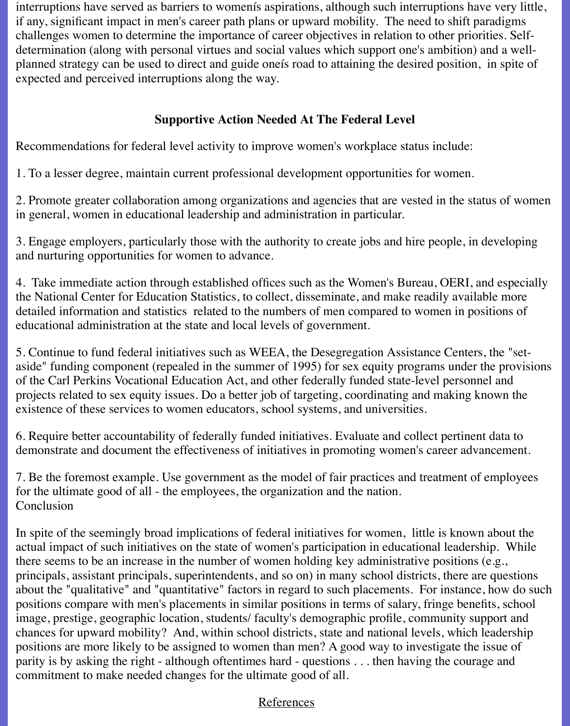interruptions have served as barriers to womenís aspirations, although such interruptions have very little, if any, significant impact in men's career path plans or upward mobility. The need to shift paradigms challenges women to determine the importance of career objectives in relation to other priorities. Selfdetermination (along with personal virtues and social values which support one's ambition) and a wellplanned strategy can be used to direct and guide oneís road to attaining the desired position, in spite of expected and perceived interruptions along the way.

# **Supportive Action Needed At The Federal Level**

Recommendations for federal level activity to improve women's workplace status include:

1. To a lesser degree, maintain current professional development opportunities for women.

2. Promote greater collaboration among organizations and agencies that are vested in the status of women in general, women in educational leadership and administration in particular.

3. Engage employers, particularly those with the authority to create jobs and hire people, in developing and nurturing opportunities for women to advance.

4. Take immediate action through established offices such as the Women's Bureau, OERI, and especially the National Center for Education Statistics, to collect, disseminate, and make readily available more detailed information and statistics related to the numbers of men compared to women in positions of educational administration at the state and local levels of government.

5. Continue to fund federal initiatives such as WEEA, the Desegregation Assistance Centers, the "setaside" funding component (repealed in the summer of 1995) for sex equity programs under the provisions of the Carl Perkins Vocational Education Act, and other federally funded state-level personnel and projects related to sex equity issues. Do a better job of targeting, coordinating and making known the existence of these services to women educators, school systems, and universities.

6. Require better accountability of federally funded initiatives. Evaluate and collect pertinent data to demonstrate and document the effectiveness of initiatives in promoting women's career advancement.

7. Be the foremost example. Use government as the model of fair practices and treatment of employees for the ultimate good of all - the employees, the organization and the nation. Conclusion

In spite of the seemingly broad implications of federal initiatives for women, little is known about the actual impact of such initiatives on the state of women's participation in educational leadership. While there seems to be an increase in the number of women holding key administrative positions (e.g., principals, assistant principals, superintendents, and so on) in many school districts, there are questions about the "qualitative" and "quantitative" factors in regard to such placements. For instance, how do such positions compare with men's placements in similar positions in terms of salary, fringe benefits, school image, prestige, geographic location, students/ faculty's demographic profile, community support and chances for upward mobility? And, within school districts, state and national levels, which leadership positions are more likely to be assigned to women than men? A good way to investigate the issue of parity is by asking the right - although oftentimes hard - questions . . . then having the courage and commitment to make needed changes for the ultimate good of all.

# References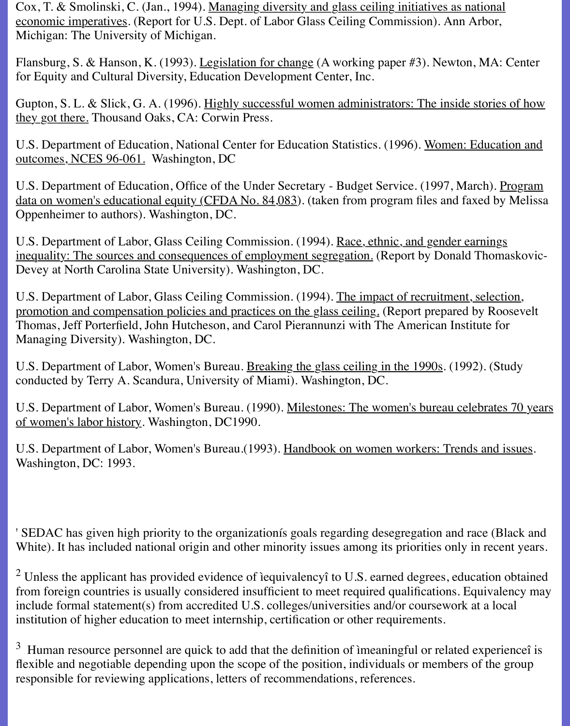Cox, T. & Smolinski, C. (Jan., 1994). Managing diversity and glass ceiling initiatives as national economic imperatives. (Report for U.S. Dept. of Labor Glass Ceiling Commission). Ann Arbor, Michigan: The University of Michigan.

Flansburg, S. & Hanson, K. (1993). Legislation for change (A working paper #3). Newton, MA: Center for Equity and Cultural Diversity, Education Development Center, Inc.

Gupton, S. L. & Slick, G. A. (1996). Highly successful women administrators: The inside stories of how they got there. Thousand Oaks, CA: Corwin Press.

U.S. Department of Education, National Center for Education Statistics. (1996). Women: Education and outcomes, NCES 96-061. Washington, DC

U.S. Department of Education, Office of the Under Secretary - Budget Service. (1997, March). Program data on women's educational equity (CFDA No. 84,083). (taken from program files and faxed by Melissa Oppenheimer to authors). Washington, DC.

U.S. Department of Labor, Glass Ceiling Commission. (1994). Race, ethnic, and gender earnings inequality: The sources and consequences of employment segregation. (Report by Donald Thomaskovic-Devey at North Carolina State University). Washington, DC.

U.S. Department of Labor, Glass Ceiling Commission. (1994). The impact of recruitment, selection, promotion and compensation policies and practices on the glass ceiling. (Report prepared by Roosevelt Thomas, Jeff Porterfield, John Hutcheson, and Carol Pierannunzi with The American Institute for Managing Diversity). Washington, DC.

U.S. Department of Labor, Women's Bureau. Breaking the glass ceiling in the 1990s. (1992). (Study conducted by Terry A. Scandura, University of Miami). Washington, DC.

U.S. Department of Labor, Women's Bureau. (1990). Milestones: The women's bureau celebrates 70 years of women's labor history. Washington, DC1990.

U.S. Department of Labor, Women's Bureau.(1993). Handbook on women workers: Trends and issues. Washington, DC: 1993.

' SEDAC has given high priority to the organizationís goals regarding desegregation and race (Black and White). It has included national origin and other minority issues among its priorities only in recent years.

 $2$  Unless the applicant has provided evidence of iequivalency to U.S. earned degrees, education obtained from foreign countries is usually considered insufficient to meet required qualifications. Equivalency may include formal statement(s) from accredited U.S. colleges/universities and/or coursework at a local institution of higher education to meet internship, certification or other requirements.

 $3$  Human resource personnel are quick to add that the definition of imeaningful or related experience i is flexible and negotiable depending upon the scope of the position, individuals or members of the group responsible for reviewing applications, letters of recommendations, references.